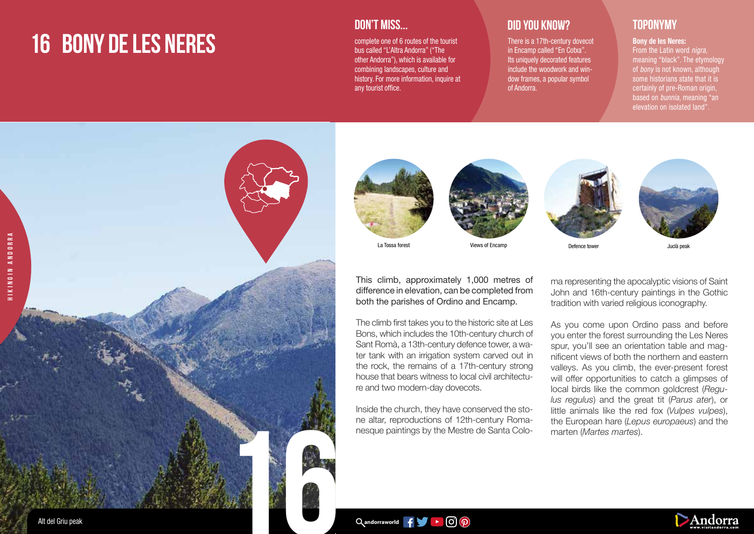# **16 BONY DE LES NERES**

### **DON'T MISS...**

complete one of 6 routes of the tourist bus called "L'Altra Andorra" ("The other Andorra"), which is available for combining landscapes, culture and history. For more information, inquire at any tourist office.

## **DID YOU KNOW? TOPONYMY**

There is a 17th-century dovecot in Encamp called "En Cotxa". Its uniquely decorated features include the woodwork and window frames, a popular symbol of Andorra.

### Bony de les Neres:

From the Latin word *nigra*. meaning "black". The etymology of *bony* is not known, although some historians state that it is certainly of pre-Roman origin. based on bunnia, meaning "an elevation on isolated land".













La Tossa forest Views of Encamp Defence tower Juclà peak

This climb, approximately 1,000 metres of difference in elevation, can be completed from both the parishes of Ordino and Encamp.

The climb first takes you to the historic site at Les Bons, which includes the 10th-century church of Sant Romà, a 13th-century defence tower, a water tank with an irrigation system carved out in the rock, the remains of a 17th-century strong house that bears witness to local civil architecture and two modern-day dovecots.

Inside the church, they have conserved the stone altar, reproductions of 12th-century Romanesque paintings by the Mestre de Santa Coloma representing the apocalyptic visions of Saint John and 16th-century paintings in the Gothic tradition with varied religious iconography.

As you come upon Ordino pass and before you enter the forest surrounding the Les Neres spur, you'll see an orientation table and magnificent views of both the northern and eastern valleys. As you climb, the ever-present forest will offer opportunities to catch a glimpses of local birds like the common goldcrest (*Regulus regulus*) and the great tit (*Parus ater*), or little animals like the red fox (*Vulpes vulpes*), the European hare (*Lepus europaeus*) and the marten (*Martes martes*).